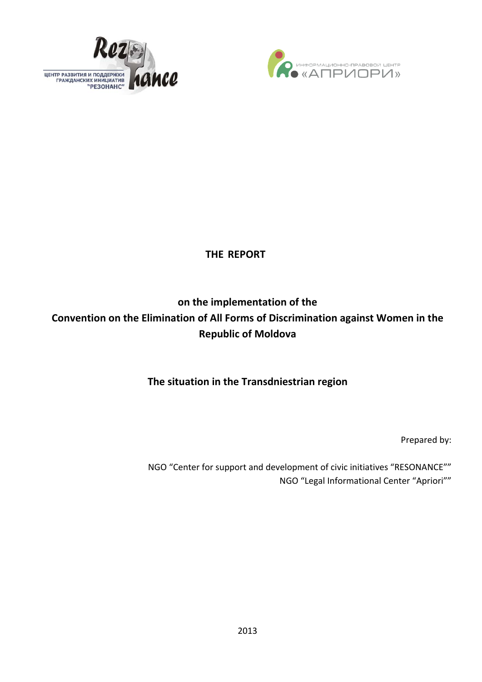



# **THE REPORT**

# **on the implementation of the Convention on the Elimination of All Forms of Discrimination against Women in the Republic of Moldova**

# **The situation in the Transdniestrian region**

Prepared by:

NGO "Center for support and development of civic initiatives "RESONANCE"" NGO "Legal Informational Center "Apriori""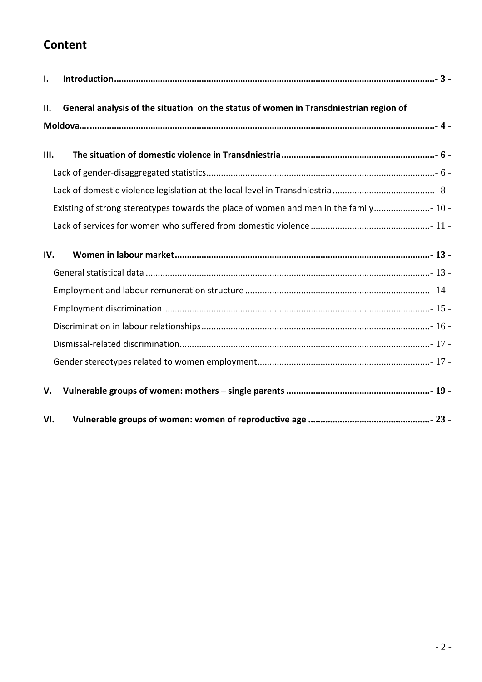# **Content**

| $\mathbf{I}$ . |                                                                                       |
|----------------|---------------------------------------------------------------------------------------|
| П.             | General analysis of the situation on the status of women in Transdniestrian region of |
| III.           |                                                                                       |
|                |                                                                                       |
|                | Existing of strong stereotypes towards the place of women and men in the family 10 -  |
| IV.            |                                                                                       |
|                |                                                                                       |
|                |                                                                                       |
|                |                                                                                       |
| V.             |                                                                                       |
| VI.            |                                                                                       |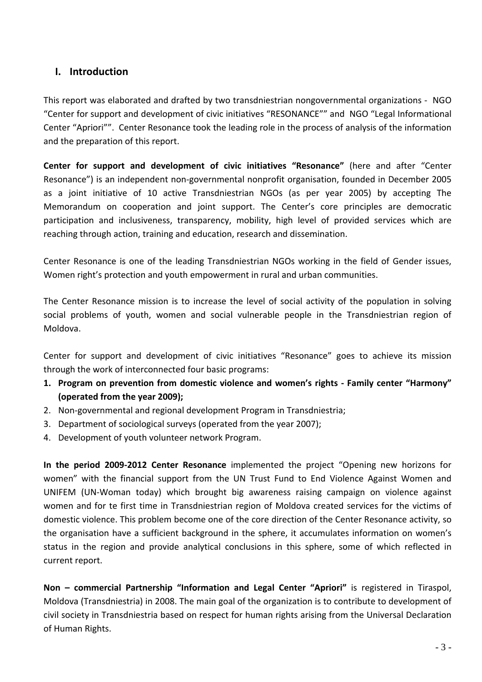# **I. Introduction**

<span id="page-2-0"></span>This report was elaborated and drafted by two transdniestrian nongovernmental organizations ‐ NGO "Center for support and development of civic initiatives "RESONANCE"" and NGO "Legal Informational Center "Apriori"". Center Resonance took the leading role in the process of analysis of the information and the preparation of this report.

**Center for support and development of civic initiatives "Resonance"** (here and after "Center Resonance") is an independent non‐governmental nonprofit organisation, founded in December 2005 as a joint initiative of 10 active Transdniestrian NGOs (as per year 2005) by accepting The Memorandum on cooperation and joint support. The Center's core principles are democratic participation and inclusiveness, transparency, mobility, high level of provided services which are reaching through action, training and education, research and dissemination.

Center Resonance is one of the leading Transdniestrian NGOs working in the field of Gender issues, Women right's protection and youth empowerment in rural and urban communities.

The Center Resonance mission is to increase the level of social activity of the population in solving social problems of youth, women and social vulnerable people in the Transdniestrian region of Moldova.

Center for support and development of civic initiatives "Resonance" goes to achieve its mission through the work of interconnected four basic programs:

- **1. Program on prevention from domestic violence and women's rights ‐ Family center "Harmony" (operated from the year 2009);**
- 2. Non‐governmental and regional development Program in Transdniestria;
- 3. Department of sociological surveys (operated from the year 2007);
- 4. Development of youth volunteer network Program.

**In the period 2009‐2012 Center Resonance** implemented the project "Opening new horizons for women" with the financial support from the UN Trust Fund to End Violence Against Women and UNIFEM (UN‐Woman today) which brought big awareness raising campaign on violence against women and for te first time in Transdniestrian region of Moldova created services for the victims of domestic violence. This problem become one of the core direction of the Center Resonance activity, so the organisation have a sufficient background in the sphere, it accumulates information on women's status in the region and provide analytical conclusions in this sphere, some of which reflected in current report.

**Non – commercial Partnership "Information and Legal Center "Apriori"** is registered in Tiraspol, Moldova (Transdniestria) in 2008. The main goal of the organization is to contribute to development of civil society in Transdniestria based on respect for human rights arising from the Universal Declaration of Human Rights.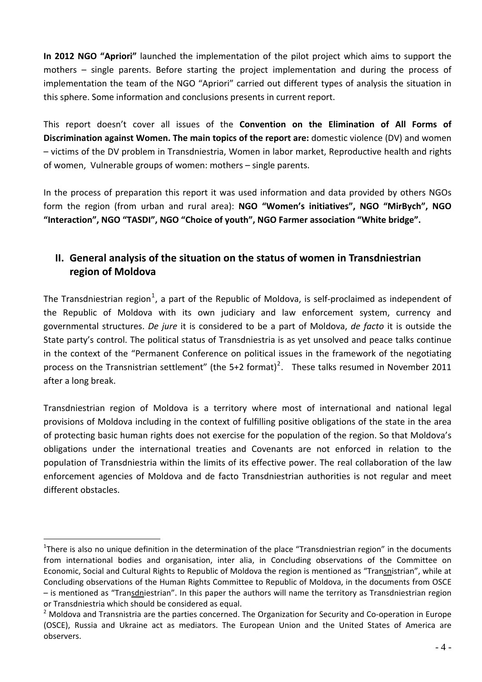**In 2012 NGO "Apriori"** launched the implementation of the pilot project which aims to support the mothers – single parents. Before starting the project implementation and during the process of implementation the team of the NGO "Apriori" carried out different types of analysis the situation in this sphere. Some information and conclusions presents in current report.

This report doesn't cover all issues of the **Convention on the Elimination of All Forms of Discrimination against Women. The main topics of the report are:** domestic violence (DV) and women – victims of the DV problem in Transdniestria, Women in labor market, Reproductive health and rights of women, Vulnerable groups of women: mothers – single parents.

In the process of preparation this report it was used information and data provided by others NGOs form the region (from urban and rural area): **NGO "Women's initiatives", NGO "MirBych", NGO "Interaction", NGO "TASDI", NGO "Choice of youth", NGO Farmer association "White bridge".** 

# <span id="page-3-0"></span>**II. General analysis of the situation on the status of women in Transdniestrian region of Moldova**

The Transdniestrian region<sup>[1](#page-3-1)</sup>, a part of the Republic of Moldova, is self-proclaimed as independent of the Republic of Moldova with its own judiciary and law enforcement system, currency and governmental structures. *De jure* it is considered to be a part of Moldova, *de facto* it is outside the State party's control. The political status of Transdniestria is as yet unsolved and peace talks continue in the context of the "Permanent Conference on political issues in the framework of the negotiating process on the Transnistrian settlement" (the 5+[2](#page-3-2) format)<sup>2</sup>. These talks resumed in November 2011 after a long break.

Transdniestrian region of Moldova is a territory where most of international and national legal provisions of Moldova including in the context of fulfilling positive obligations of the state in the area of protecting basic human rights does not exercise for the population of the region. So that Moldova's obligations under the international treaties and Covenants are not enforced in relation to the population of Transdniestria within the limits of its effective power. The real collaboration of the law enforcement agencies of Moldova and de facto Transdniestrian authorities is not regular and meet different obstacles.

<span id="page-3-1"></span><sup>&</sup>lt;sup>1</sup>There is also no unique definition in the determination of the place "Transdniestrian region" in the documents from international bodies and organisation, inter alia, in Concluding observations of the Committee on Economic, Social and Cultural Rights to Republic of Moldova the region is mentioned as "Transnistrian", while at Concluding observations of the Human Rights Committee to Republic of Moldova, in the documents from OSCE – is mentioned as "Transdniestrian". In this paper the authors will name the territory as Transdniestrian region or Transdniestria which should be considered as equal.

<span id="page-3-2"></span><sup>&</sup>lt;sup>2</sup> Moldova and Transnistria are the parties concerned. The Organization for Security and Co-operation in Europe (OSCE), Russia and Ukraine act as mediators. The European Union and the United States of America are observers.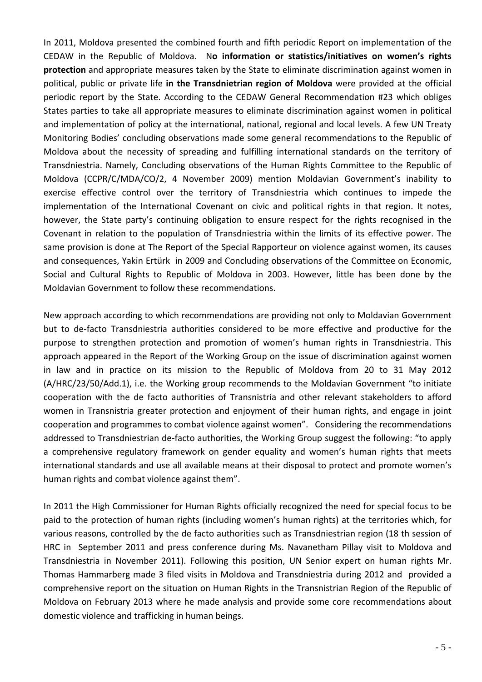In 2011, Moldova presented the combined fourth and fifth periodic Report on implementation of the CEDAW in the Republic of Moldova. N**o information or statistics/initiatives on women's rights protection** and appropriate measures taken by the State to eliminate discrimination against women in political, public or private life **in the Transdnietrian region of Moldova** were provided at the official periodic report by the State. According to the CEDAW General Recommendation #23 which obliges States parties to take all appropriate measures to eliminate discrimination against women in political and implementation of policy at the international, national, regional and local levels. A few UN Treaty Monitoring Bodies' concluding observations made some general recommendations to the Republic of Moldova about the necessity of spreading and fulfilling international standards on the territory of Transdniestria. Namely, Concluding observations of the Human Rights Committee to the Republic of Moldova (CCPR/C/MDA/CO/2, 4 November 2009) mention Moldavian Government's inability to exercise effective control over the territory of Transdniestria which continues to impede the implementation of the International Covenant on civic and political rights in that region. It notes, however, the State party's continuing obligation to ensure respect for the rights recognised in the Covenant in relation to the population of Transdniestria within the limits of its effective power. The same provision is done at The Report of the Special Rapporteur on violence against women, its causes and consequences, Yakin Ertürk in 2009 and Concluding observations of the Committee on Economic, Social and Cultural Rights to Republic of Moldova in 2003. However, little has been done by the Moldavian Government to follow these recommendations.

New approach according to which recommendations are providing not only to Moldavian Government but to de‐facto Transdniestria authorities considered to be more effective and productive for the purpose to strengthen protection and promotion of women's human rights in Transdniestria. This approach appeared in the Report of the Working Group on the issue of discrimination against women in law and in practice on its mission to the Republic of Moldova from 20 to 31 May 2012 (A/HRC/23/50/Add.1), i.e. the Working group recommends to the Moldavian Government "to initiate cooperation with the de facto authorities of Transnistria and other relevant stakeholders to afford women in Transnistria greater protection and enjoyment of their human rights, and engage in joint cooperation and programmes to combat violence against women". Considering the recommendations addressed to Transdniestrian de‐facto authorities, the Working Group suggest the following: "to apply a comprehensive regulatory framework on gender equality and women's human rights that meets international standards and use all available means at their disposal to protect and promote women's human rights and combat violence against them".

In 2011 the High Commissioner for Human Rights officially recognized the need for special focus to be paid to the protection of human rights (including women's human rights) at the territories which, for various reasons, controlled by the de facto authorities such as Transdniestrian region (18 th session of HRC in September 2011 and press conference during Ms. Navanetham Pillay visit to Moldova and Transdniestria in November 2011). Following this position, UN Senior expert on human rights Mr. Thomas Hammarberg made 3 filed visits in Moldova and Transdniestria during 2012 and provided a comprehensive report on the situation on Human Rights in the Transnistrian Region of the Republic of Moldova on February 2013 where he made analysis and provide some core recommendations about domestic violence and trafficking in human beings.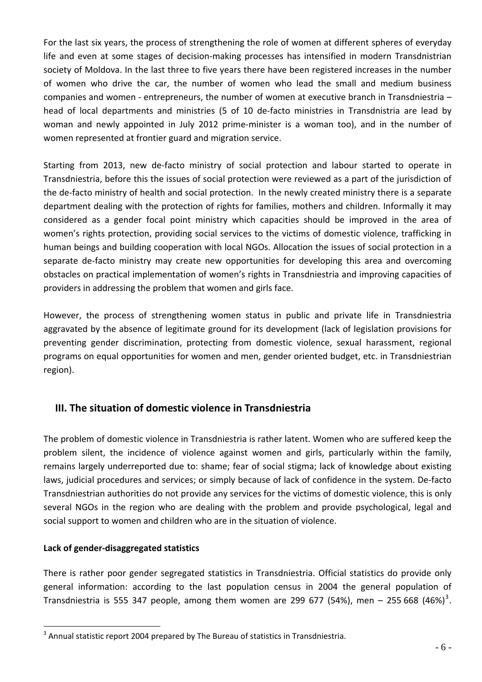For the last six years, the process of strengthening the role of women at different spheres of everyday life and even at some stages of decision-making processes has intensified in modern Transdnistrian society of Moldova. In the last three to five years there have been registered increases in the number of women who drive the car, the number of women who lead the small and medium business companies and women ‐ entrepreneurs, the number of women at executive branch in Transdniestria – head of local departments and ministries (5 of 10 de-facto ministries in Transdnistria are lead by woman and newly appointed in July 2012 prime-minister is a woman too), and in the number of women represented at frontier guard and migration service.

Starting from 2013, new de-facto ministry of social protection and labour started to operate in Transdniestria, before this the issues of social protection were reviewed as a part of the jurisdiction of the de-facto ministry of health and social protection. In the newly created ministry there is a separate department dealing with the protection of rights for families, mothers and children. Informally it may considered as a gender focal point ministry which capacities should be improved in the area of women's rights protection, providing social services to the victims of domestic violence, trafficking in human beings and building cooperation with local NGOs. Allocation the issues of social protection in a separate de-facto ministry may create new opportunities for developing this area and overcoming obstacles on practical implementation of women's rights in Transdniestria and improving capacities of providers in addressing the problem that women and girls face.

However, the process of strengthening women status in public and private life in Transdniestria aggravated by the absence of legitimate ground for its development (lack of legislation provisions for preventing gender discrimination, protecting from domestic violence, sexual harassment, regional programs on equal opportunities for women and men, gender oriented budget, etc. in Transdniestrian region).

# **III. The situation of domestic violence in Transdniestria**

<span id="page-5-0"></span>The problem of domestic violence in Transdniestria is rather latent. Women who are suffered keep the problem silent, the incidence of violence against women and girls, particularly within the family, remains largely underreported due to: shame; fear of social stigma; lack of knowledge about existing laws, judicial procedures and services; or simply because of lack of confidence in the system. De‐facto Transdniestrian authorities do not provide any services for the victims of domestic violence, this is only several NGOs in the region who are dealing with the problem and provide psychological, legal and social support to women and children who are in the situation of violence.

## <span id="page-5-1"></span>**Lack of gender‐disaggregated statistics**

 $\overline{a}$ 

There is rather poor gender segregated statistics in Transdniestria. Official statistics do provide only general information: according to the last population census in 2004 the general population of Transdniestria is 555 [3](#page-5-2)47 people, among them women are 299 677 (54%), men – 255 668 (46%)<sup>3</sup>.

<span id="page-5-2"></span> $3$  Annual statistic report 2004 prepared by The Bureau of statistics in Transdniestria.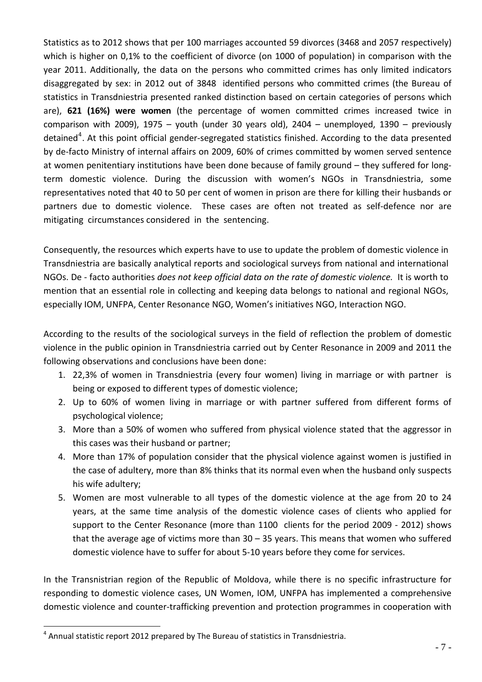Statistics as to 2012 shows that per 100 marriages accounted 59 divorces (3468 and 2057 respectively) which is higher on 0,1% to the coefficient of divorce (on 1000 of population) in comparison with the year 2011. Additionally, the data on the persons who committed crimes has only limited indicators disaggregated by sex: in 2012 out of 3848 identified persons who committed crimes (the Bureau of statistics in Transdniestria presented ranked distinction based on certain categories of persons which are), **621 (16%) were women** (the percentage of women committed crimes increased twice in comparison with 2009), 1975 – youth (under 30 years old), 2404 – unemployed, 1390 – previously detained<sup>[4](#page-6-0)</sup>. At this point official gender-segregated statistics finished. According to the data presented by de‐facto Ministry of internal affairs on 2009, 60% of crimes committed by women served sentence at women penitentiary institutions have been done because of family ground – they suffered for long‐ term domestic violence. During the discussion with women's NGOs in Transdniestria, some representatives noted that 40 to 50 per cent of women in prison are there for killing their husbands or partners due to domestic violence. These cases are often not treated as self-defence nor are mitigating circumstances considered in the sentencing.

Consequently, the resources which experts have to use to update the problem of domestic violence in Transdniestria are basically analytical reports and sociological surveys from national and international NGOs. De ‐ facto authorities *does not keep official data on the rate of domestic violence.* It is worth to mention that an essential role in collecting and keeping data belongs to national and regional NGOs, especially IOM, UNFPA, Center Resonance NGO, Women's initiatives NGO, Interaction NGO.

According to the results of the sociological surveys in the field of reflection the problem of domestic violence in the public opinion in Transdniestria carried out by Center Resonance in 2009 and 2011 the following observations and conclusions have been done:

- 1. 22,3% of women in Transdniestria (every four women) living in marriage or with partner is being or exposed to different types of domestic violence;
- 2. Up to 60% of women living in marriage or with partner suffered from different forms of psychological violence;
- 3. More than a 50% of women who suffered from physical violence stated that the aggressor in this cases was their husband or partner;
- 4. More than 17% of population consider that the physical violence against women is justified in the case of adultery, more than 8% thinks that its normal even when the husband only suspects his wife adultery;
- 5. Women are most vulnerable to all types of the domestic violence at the age from 20 to 24 years, at the same time analysis of the domestic violence cases of clients who applied for support to the Center Resonance (more than 1100 clients for the period 2009 - 2012) shows that the average age of victims more than 30 – 35 years. This means that women who suffered domestic violence have to suffer for about 5‐10 years before they come for services.

In the Transnistrian region of the Republic of Moldova, while there is no specific infrastructure for responding to domestic violence cases, UN Women, IOM, UNFPA has implemented a comprehensive domestic violence and counter‐trafficking prevention and protection programmes in cooperation with

<span id="page-6-0"></span><sup>4</sup> Annual statistic report 2012 prepared by The Bureau of statistics in Transdniestria.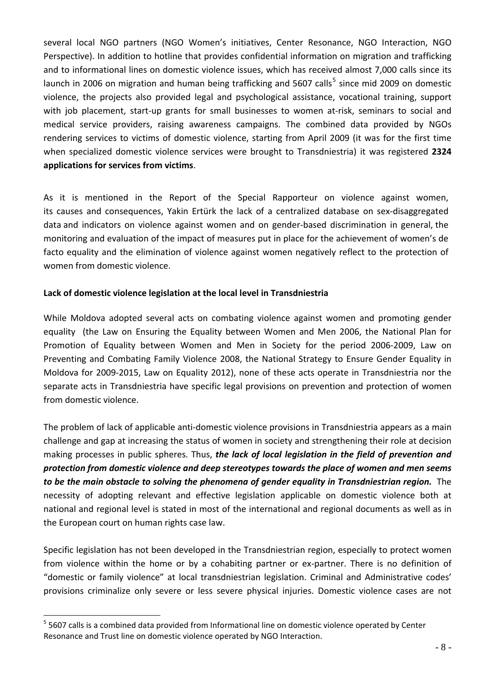several local NGO partners (NGO Women's initiatives, Center Resonance, NGO Interaction, NGO Perspective). In addition to hotline that provides confidential information on migration and trafficking and to informational lines on domestic violence issues, which has received almost 7,000 calls since its launch in 2006 on migration and human being trafficking and [5](#page-7-1)607 calls<sup>5</sup> since mid 2009 on domestic violence, the projects also provided legal and psychological assistance, vocational training, support with job placement, start-up grants for small businesses to women at-risk, seminars to social and medical service providers, raising awareness campaigns. The combined data provided by NGOs rendering services to victims of domestic violence, starting from April 2009 (it was for the first time when specialized domestic violence services were brought to Transdniestria) it was registered **2324 applications for services from victims**.

As it is mentioned in the Report of the Special Rapporteur on violence against women, its causes and consequences, Yakin Ertürk the lack of a centralized database on sex-disaggregated data and indicators on violence against women and on gender‐based discrimination in general, the monitoring and evaluation of the impact of measures put in place for the achievement of women's de facto equality and the elimination of violence against women negatively reflect to the protection of women from domestic violence.

#### <span id="page-7-0"></span>**Lack of domestic violence legislation at the local level in Transdniestria**

While Moldova adopted several acts on combating violence against women and promoting gender equality (the Law on Ensuring the Equality between Women and Men 2006, the National Plan for Promotion of Equality between Women and Men in Society for the period 2006‐2009, Law on Preventing and Combating Family Violence 2008, the National Strategy to Ensure Gender Equality in Moldova for 2009‐2015, Law on Equality 2012), none of these acts operate in Transdniestria nor the separate acts in Transdniestria have specific legal provisions on prevention and protection of women from domestic violence.

The problem of lack of applicable anti‐domestic violence provisions in Transdniestria appears as a main challenge and gap at increasing the status of women in society and strengthening their role at decision making processes in public spheres. Thus, *the lack of local legislation in the field of prevention and protection from domestic violence and deep stereotypes towards the place of women and men seems to be the main obstacle to solving the phenomena of gender equality in Transdniestrian region.* The necessity of adopting relevant and effective legislation applicable on domestic violence both at national and regional level is stated in most of the international and regional documents as well as in the European court on human rights case law.

Specific legislation has not been developed in the Transdniestrian region, especially to protect women from violence within the home or by a cohabiting partner or ex-partner. There is no definition of "domestic or family violence" at local transdniestrian legislation. Criminal and Administrative codes' provisions criminalize only severe or less severe physical injuries. Domestic violence cases are not

<span id="page-7-1"></span><sup>&</sup>lt;sup>5</sup> 5607 calls is a combined data provided from Informational line on domestic violence operated by Center Resonance and Trust line on domestic violence operated by NGO Interaction.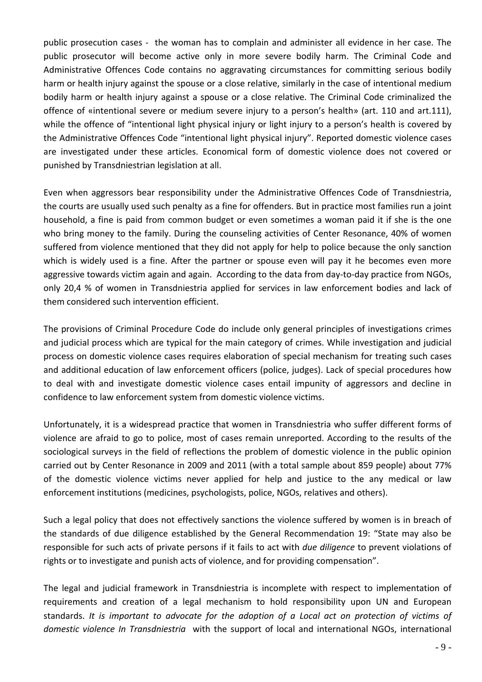public prosecution cases ‐ the woman has to complain and administer all evidence in her case. The public prosecutor will become active only in more severe bodily harm. The Criminal Code and Administrative Offences Code contains no aggravating circumstances for committing serious bodily harm or health injury against the spouse or a close relative, similarly in the case of intentional medium bodily harm or health injury against a spouse or a close relative. The Criminal Code criminalized the offence of «intentional severe or medium severe injury to a person's health» (art. 110 and art.111), while the offence of "intentional light physical injury or light injury to a person's health is covered by the Administrative Offences Code "intentional light physical injury". Reported domestic violence cases are investigated under these articles. Economical form of domestic violence does not covered or punished by Transdniestrian legislation at all.

Even when aggressors bear responsibility under the Administrative Offences Code of Transdniestria, the courts are usually used such penalty as a fine for offenders. But in practice most families run a joint household, a fine is paid from common budget or even sometimes a woman paid it if she is the one who bring money to the family. During the counseling activities of Center Resonance, 40% of women suffered from violence mentioned that they did not apply for help to police because the only sanction which is widely used is a fine. After the partner or spouse even will pay it he becomes even more aggressive towards victim again and again. According to the data from day-to-day practice from NGOs, only 20,4 % of women in Transdniestria applied for services in law enforcement bodies and lack of them considered such intervention efficient.

The provisions of Criminal Procedure Code do include only general principles of investigations crimes and judicial process which are typical for the main category of crimes. While investigation and judicial process on domestic violence cases requires elaboration of special mechanism for treating such cases and additional education of law enforcement officers (police, judges). Lack of special procedures how to deal with and investigate domestic violence cases entail impunity of aggressors and decline in confidence to law enforcement system from domestic violence victims.

Unfortunately, it is a widespread practice that women in Transdniestria who suffer different forms of violence are afraid to go to police, most of cases remain unreported. According to the results of the sociological surveys in the field of reflections the problem of domestic violence in the public opinion carried out by Center Resonance in 2009 and 2011 (with a total sample about 859 people) about 77% of the domestic violence victims never applied for help and justice to the any medical or law enforcement institutions (medicines, psychologists, police, NGOs, relatives and others).

Such a legal policy that does not effectively sanctions the violence suffered by women is in breach of the standards of due diligence established by the General Recommendation 19: "State may also be responsible for such acts of private persons if it fails to act with *due diligence* to prevent violations of rights or to investigate and punish acts of violence, and for providing compensation".

The legal and judicial framework in Transdniestria is incomplete with respect to implementation of requirements and creation of a legal mechanism to hold responsibility upon UN and European standards. *It is important to advocate for the adoption of a Local act on protection of victims of domestic violence In Transdniestria* with the support of local and international NGOs, international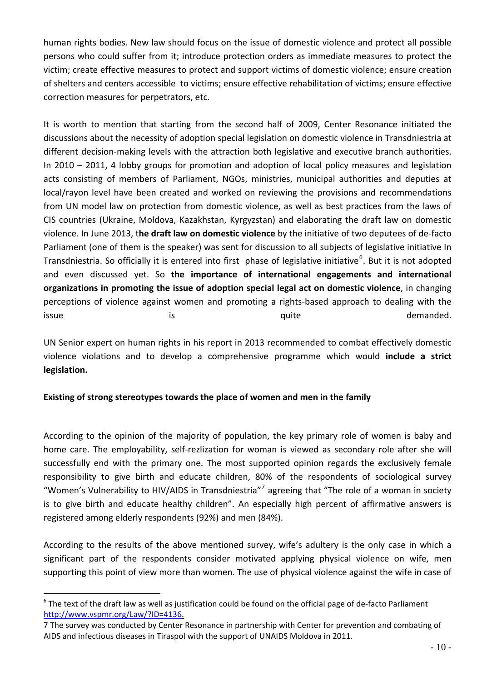human rights bodies. New law should focus on the issue of domestic violence and protect all possible persons who could suffer from it; introduce protection orders as immediate measures to protect the victim; create effective measures to protect and support victims of domestic violence; ensure creation of shelters and centers accessible to victims; ensure effective rehabilitation of victims; ensure effective correction measures for perpetrators, etc.

It is worth to mention that starting from the second half of 2009, Center Resonance initiated the discussions about the necessity of adoption special legislation on domestic violence in Transdniestria at different decision‐making levels with the attraction both legislative and executive branch authorities. In 2010 – 2011, 4 lobby groups for promotion and adoption of local policy measures and legislation acts consisting of members of Parliament, NGOs, ministries, municipal authorities and deputies at local/rayon level have been created and worked on reviewing the provisions and recommendations from UN model law on protection from domestic violence, as well as best practices from the laws of CIS countries (Ukraine, Moldova, Kazakhstan, Kyrgyzstan) and elaborating the draft law on domestic violence. In June 2013, t**he draft law on domestic violence** by the initiative of two deputees of de‐facto Parliament (one of them is the speaker) was sent for discussion to all subjects of legislative initiative In Transdniestria. So officially it is entered into first phase of legislative initiative<sup>[6](#page-9-1)</sup>. But it is not adopted and even discussed yet. So **the importance of international engagements and international organizations in promoting the issue of adoption special legal act on domestic violence**, in changing perceptions of violence against women and promoting a rights‐based approach to dealing with the issue is the contract of the contract of the contract of the contract of the contract of the contract of the contract of the contract of the contract of the contract of the contract of the contract of the contract of the c

UN Senior expert on human rights in his report in 2013 recommended to combat effectively domestic violence violations and to develop a comprehensive programme which would **include a strict legislation.**

#### <span id="page-9-0"></span>**Existing of strong stereotypes towards the place of women and men in the family**

According to the opinion of the majority of population, the key primary role of women is baby and home care. The employability, self-rezlization for woman is viewed as secondary role after she will successfully end with the primary one. The most supported opinion regards the exclusively female responsibility to give birth and educate children, 80% of the respondents of sociological survey "Women's Vulnerability to HIV/AIDS in Transdniestria"<sup>[7](#page-9-2)</sup> agreeing that "The role of a woman in society is to give birth and educate healthy children". An especially high percent of affirmative answers is registered among elderly respondents (92%) and men (84%).

According to the results of the above mentioned survey, wife's adultery is the only case in which a significant part of the respondents consider motivated applying physical violence on wife, men supporting this point of view more than women. The use of physical violence against the wife in case of

<span id="page-9-1"></span> $6$  The text of the draft law as well as justification could be found on the official page of de-facto Parliament [http://www.vspmr.org/Law/?ID=4136.](http://www.vspmr.org/Law/?ID=4136)

<span id="page-9-2"></span><sup>7</sup> The survey was conducted by Center Resonance in partnership with Center for prevention and combating of AIDS and infectious diseases in Tiraspol with the support of UNAIDS Moldova in 2011.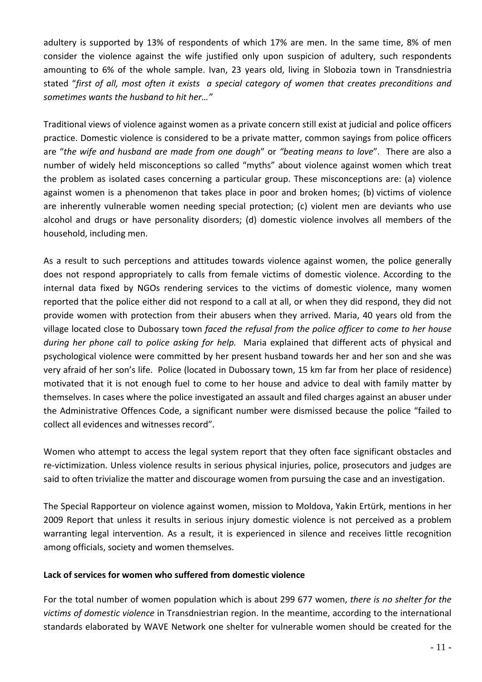adultery is supported by 13% of respondents of which 17% are men. In the same time, 8% of men consider the violence against the wife justified only upon suspicion of adultery, such respondents amounting to 6% of the whole sample. Ivan, 23 years old, living in Slobozia town in Transdniestria stated "*first of all, most often it exists a special category of women that creates preconditions and sometimes wants the husband to hit her…"*

Traditional views of violence against women as a private concern still exist at judicial and police officers practice. Domestic violence is considered to be a private matter, common sayings from police officers are "*the wife and husband are made from one dough*" or *"beating means to love*". There are also a number of widely held misconceptions so called "myths" about violence against women which treat the problem as isolated cases concerning a particular group. These misconceptions are: (a) violence against women is a phenomenon that takes place in poor and broken homes; (b) victims of violence are inherently vulnerable women needing special protection; (c) violent men are deviants who use alcohol and drugs or have personality disorders; (d) domestic violence involves all members of the household, including men.

As a result to such perceptions and attitudes towards violence against women, the police generally does not respond appropriately to calls from female victims of domestic violence. According to the internal data fixed by NGOs rendering services to the victims of domestic violence, many women reported that the police either did not respond to a call at all, or when they did respond, they did not provide women with protection from their abusers when they arrived. Maria, 40 years old from the village located close to Dubossary town *faced the refusal from the police officer to come to her house during her phone call to police asking for help.* Maria explained that different acts of physical and psychological violence were committed by her present husband towards her and her son and she was very afraid of her son's life. Police (located in Dubossary town, 15 km far from her place of residence) motivated that it is not enough fuel to come to her house and advice to deal with family matter by themselves. In cases where the police investigated an assault and filed charges against an abuser under the Administrative Offences Code, a significant number were dismissed because the police "failed to collect all evidences and witnesses record".

Women who attempt to access the legal system report that they often face significant obstacles and re-victimization. Unless violence results in serious physical injuries, police, prosecutors and judges are said to often trivialize the matter and discourage women from pursuing the case and an investigation.

The Special Rapporteur on violence against women, mission to Moldova, Yakin Ertürk, mentions in her 2009 Report that unless it results in serious injury domestic violence is not perceived as a problem warranting legal intervention. As a result, it is experienced in silence and receives little recognition among officials, society and women themselves.

#### <span id="page-10-0"></span>**Lack of services for women who suffered from domestic violence**

For the total number of women population which is about 299 677 women, *there is no shelter for the victims of domestic violence* in Transdniestrian region. In the meantime, according to the international standards elaborated by WAVE Network one shelter for vulnerable women should be created for the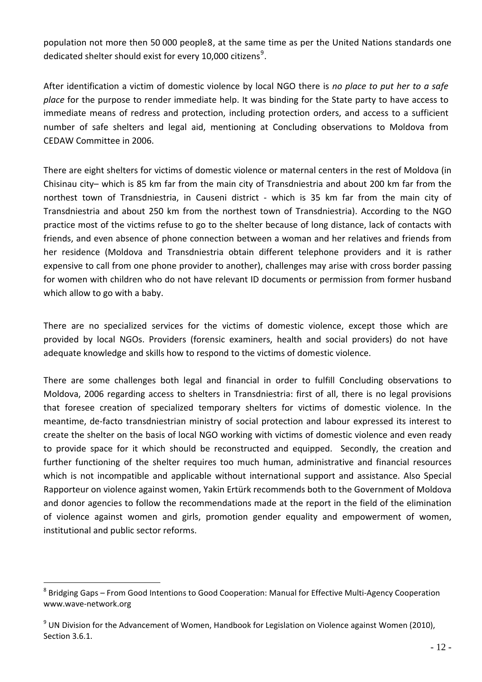population not more then 50 000 people[8](#page-11-0), at the same time as per the United Nations standards one dedicated shelter should exist for every 10,000 citizens $^9$  $^9$ .

After identification a victim of domestic violence by local NGO there is *no place to put her to a safe place* for the purpose to render immediate help. It was binding for the State party to have access to immediate means of redress and protection, including protection orders, and access to a sufficient number of safe shelters and legal aid, mentioning at Concluding observations to Moldova from CEDAW Committee in 2006.

There are eight shelters for victims of domestic violence or maternal centers in the rest of Moldova (in Chisinau city– which is 85 km far from the main city of Transdniestria and about 200 km far from the northest town of Transdniestria, in Causeni district - which is 35 km far from the main city of Transdniestria and about 250 km from the northest town of Transdniestria). According to the NGO practice most of the victims refuse to go to the shelter because of long distance, lack of contacts with friends, and even absence of phone connection between a woman and her relatives and friends from her residence (Moldova and Transdniestria obtain different telephone providers and it is rather expensive to call from one phone provider to another), challenges may arise with cross border passing for women with children who do not have relevant ID documents or permission from former husband which allow to go with a baby.

There are no specialized services for the victims of domestic violence, except those which are provided by local NGOs. Providers (forensic examiners, health and social providers) do not have adequate knowledge and skills how to respond to the victims of domestic violence.

There are some challenges both legal and financial in order to fulfill Concluding observations to Moldova, 2006 regarding access to shelters in Transdniestria: first of all, there is no legal provisions that foresee creation of specialized temporary shelters for victims of domestic violence. In the meantime, de‐facto transdniestrian ministry of social protection and labour expressed its interest to create the shelter on the basis of local NGO working with victims of domestic violence and even ready to provide space for it which should be reconstructed and equipped. Secondly, the creation and further functioning of the shelter requires too much human, administrative and financial resources which is not incompatible and applicable without international support and assistance. Also Special Rapporteur on violence against women, Yakin Ertürk recommends both to the Government of Moldova and donor agencies to follow the recommendations made at the report in the field of the elimination of violence against women and girls, promotion gender equality and empowerment of women, institutional and public sector reforms.

<span id="page-11-0"></span><sup>8</sup> Bridging Gaps – From Good Intentions to Good Cooperation: Manual for Effective Multi-Agency Cooperation www.wave‐[network.org](http://www.wave-network.org/)

<span id="page-11-1"></span> $9$  UN Division for the Advancement of Women, Handbook for Legislation on Violence against Women (2010), Section 3.6.1.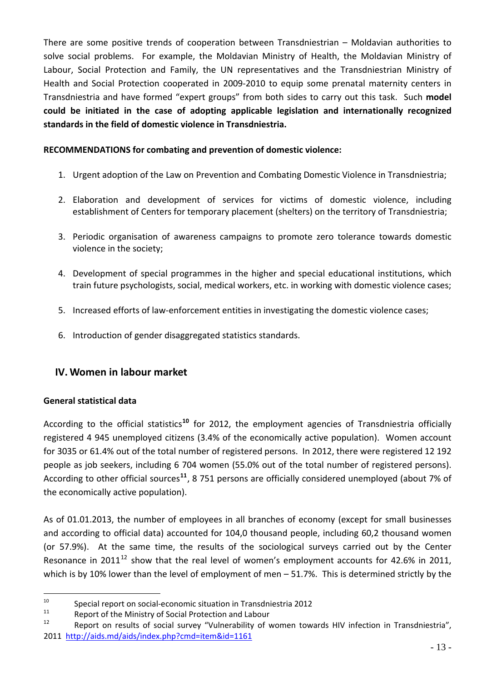There are some positive trends of cooperation between Transdniestrian – Moldavian authorities to solve social problems. For example, the Moldavian Ministry of Health, the Moldavian Ministry of Labour, Social Protection and Family, the UN representatives and the Transdniestrian Ministry of Health and Social Protection cooperated in 2009‐2010 to equip some prenatal maternity centers in Transdniestria and have formed "expert groups" from both sides to carry out this task. Such **model could be initiated in the case of adopting applicable legislation and internationally recognized standards in the field of domestic violence in Transdniestria.**

## **RECOMMENDATIONS for combating and prevention of domestic violence:**

- 1. Urgent adoption of the Law on Prevention and Combating Domestic Violence in Transdniestria;
- 2. Elaboration and development of services for victims of domestic violence, including establishment of Centers for temporary placement (shelters) on the territory of Transdniestria;
- 3. Periodic organisation of awareness campaigns to promote zero tolerance towards domestic violence in the society;
- 4. Development of special programmes in the higher and special educational institutions, which train future psychologists, social, medical workers, etc. in working with domestic violence cases;
- 5. Increased efforts of law-enforcement entities in investigating the domestic violence cases;
- 6. Introduction of gender disaggregated statistics standards.

# **IV. Women in labour market**

## <span id="page-12-1"></span><span id="page-12-0"></span>**General statistical data**

 $\overline{a}$ 

According to the official statistics**[10](#page-12-2)** for 2012, the employment agencies of Transdniestria officially registered 4 945 unemployed citizens (3.4% of the economically active population). Women account for 3035 or 61.4% out of the total number of registered persons. In 2012, there were registered 12 192 people as job seekers, including 6 704 women (55.0% out of the total number of registered persons). According to other official sources**[11](#page-12-3)**, 8 751 persons are officially considered unemployed (about 7% of the economically active population).

As of 01.01.2013, the number of employees in all branches of economy (except for small businesses and according to official data) accounted for 104,0 thousand people, including 60,2 thousand women (or 57.9%). At the same time, the results of the sociological surveys carried out by the Center Resonance in 2011 $^{12}$  $^{12}$  $^{12}$  show that the real level of women's employment accounts for 42.6% in 2011, which is by 10% lower than the level of employment of men – 51.7%. This is determined strictly by the

<span id="page-12-2"></span><sup>&</sup>lt;sup>10</sup> Special report on social-economic situation in Transdniestria 2012<br><sup>11</sup> Penert of the Ministry of Social Protection and Labour

<span id="page-12-3"></span><sup>&</sup>lt;sup>11</sup> Report of the Ministry of Social Protection and Labour  $\frac{12}{12}$  Report on results of social survey "Vulnershilty of y

<span id="page-12-4"></span>Report on results of social survey "Vulnerability of women towards HIV infection in Transdniestria", 2011 <http://aids.md/aids/index.php?cmd=item&id=1161>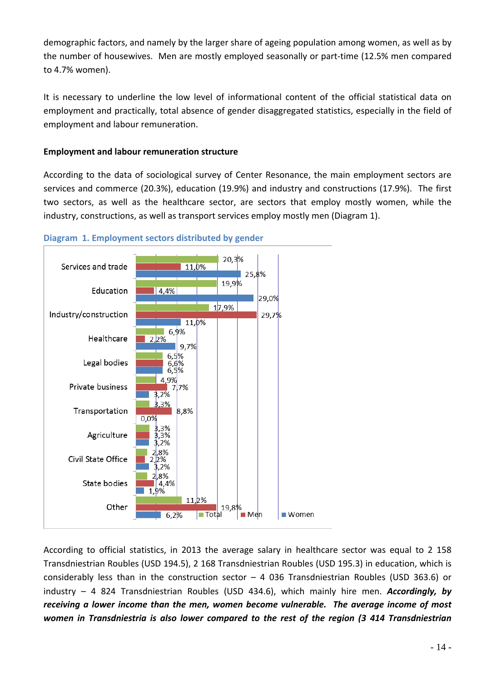demographic factors, and namely by the larger share of ageing population among women, as well as by the number of housewives. Men are mostly employed seasonally or part‐time (12.5% men compared to 4.7% women).

It is necessary to underline the low level of informational content of the official statistical data on employment and practically, total absence of gender disaggregated statistics, especially in the field of employment and labour remuneration.

#### <span id="page-13-0"></span>**Employment and labour remuneration structure**

According to the data of sociological survey of Center Resonance, the main employment sectors are services and commerce (20.3%), education (19.9%) and industry and constructions (17.9%). The first two sectors, as well as the healthcare sector, are sectors that employ mostly women, while the industry, constructions, as well as transport services employ mostly men (Diagram 1).



#### **Diagram 1. Employment sectors distributed by gender**

According to official statistics, in 2013 the average salary in healthcare sector was equal to 2 158 Transdniestrian Roubles (USD 194.5), 2 168 Transdniestrian Roubles (USD 195.3) in education, which is considerably less than in the construction sector – 4 036 Transdniestrian Roubles (USD 363.6) or industry – 4 824 Transdniestrian Roubles (USD 434.6), which mainly hire men. *Accordingly, by receiving a lower income than the men, women become vulnerable. The average income of most women in Transdniestria is also lower compared to the rest of the region (3 414 Transdniestrian*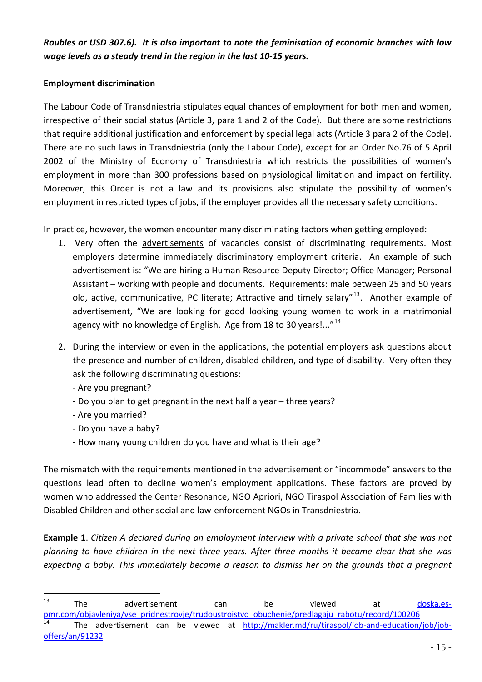Roubles or USD 307.6). It is also important to note the feminisation of economic branches with low *wage levels as a steady trend in the region in the last 10‐15 years.* 

#### <span id="page-14-0"></span>**Employment discrimination**

The Labour Code of Transdniestria stipulates equal chances of employment for both men and women, irrespective of their social status (Article 3, para 1 and 2 of the Code). But there are some restrictions that require additional justification and enforcement by special legal acts (Article 3 para 2 of the Code). There are no such laws in Transdniestria (only the Labour Code), except for an Order No.76 of 5 April 2002 of the Ministry of Economy of Transdniestria which restricts the possibilities of women's employment in more than 300 professions based on physiological limitation and impact on fertility. Moreover, this Order is not a law and its provisions also stipulate the possibility of women's employment in restricted types of jobs, if the employer provides all the necessary safety conditions.

In practice, however, the women encounter many discriminating factors when getting employed:

- 1. Very often the advertisements of vacancies consist of discriminating requirements. Most employers determine immediately discriminatory employment criteria. An example of such advertisement is: "We are hiring a Human Resource Deputy Director; Office Manager; Personal Assistant – working with people and documents. Requirements: male between 25 and 50 years old, active, communicative, PC literate; Attractive and timely salary"<sup>[13](#page-14-1)</sup>. Another example of advertisement, "We are looking for good looking young women to work in a matrimonial agency with no knowledge of English. Age from 18 to 30 years!..."<sup>[14](#page-14-2)</sup>
- 2. During the interview or even in the applications, the potential employers ask questions about the presence and number of children, disabled children, and type of disability. Very often they ask the following discriminating questions:
	- ‐ Are you pregnant?
	- ‐ Do you plan to get pregnant in the next half a year three years?
	- ‐ Are you married?

 $\overline{a}$ 

- ‐ Do you have a baby?
- ‐ How many young children do you have and what is their age?

The mismatch with the requirements mentioned in the advertisement or "incommode" answers to the questions lead often to decline women's employment applications. These factors are proved by women who addressed the Center Resonance, NGO Apriori, NGO Tiraspol Association of Families with Disabled Children and other social and law‐enforcement NGOs in Transdniestria.

**Example 1**. *Citizen A declared during an employment interview with a private school that she was not planning to have children in the next three years. After three months it became clear that she was expecting a baby. This immediately became a reason to dismiss her on the grounds that a pregnant*

<span id="page-14-2"></span><span id="page-14-1"></span><sup>&</sup>lt;sup>13</sup> The advertisement can be viewed at <u>[doska.es](http://doska.es-pmr.com/objavleniya/vse_pridnestrovje/trudoustroistvo_obuchenie/predlagaju_rabotu/record/100206)</u>[pmr.com/objavleniya/vse\\_pridnestrovje/trudoustroistvo\\_obuchenie/predlagaju\\_rabotu/record/100206](http://doska.es-pmr.com/objavleniya/vse_pridnestrovje/trudoustroistvo_obuchenie/predlagaju_rabotu/record/100206) The advertisement can be viewed at [http://makler.md/ru/tiraspol/job](http://makler.md/ru/tiraspol/job-and-education/job/job-offers/an/91232)-and-education/job/job[offers/an/91232](http://makler.md/ru/tiraspol/job-and-education/job/job-offers/an/91232)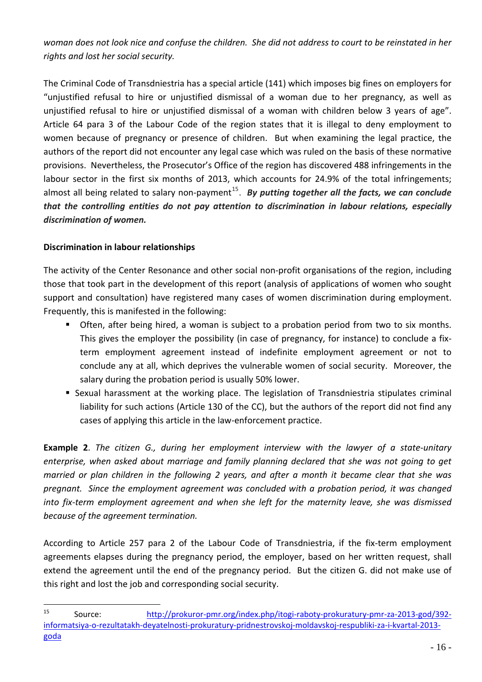woman does not look nice and confuse the children. She did not address to court to be reinstated in her *rights and lost her social security.*

The Criminal Code of Transdniestria has a special article (141) which imposes big fines on employers for "unjustified refusal to hire or unjustified dismissal of a woman due to her pregnancy, as well as unjustified refusal to hire or unjustified dismissal of a woman with children below 3 years of age". Article 64 para 3 of the Labour Code of the region states that it is illegal to deny employment to women because of pregnancy or presence of children. But when examining the legal practice, the authors of the report did not encounter any legal case which was ruled on the basis of these normative provisions. Nevertheless, the Prosecutor's Office of the region has discovered 488 infringements in the labour sector in the first six months of 2013, which accounts for 24.9% of the total infringements; almost all being related to salary non-payment<sup>[15](#page-15-1)</sup>. By putting together all the facts, we can conclude *that the controlling entities do not pay attention to discrimination in labour relations, especially discrimination of women.* 

### <span id="page-15-0"></span>**Discrimination in labour relationships**

 $\overline{a}$ 

The activity of the Center Resonance and other social non-profit organisations of the region, including those that took part in the development of this report (analysis of applications of women who sought support and consultation) have registered many cases of women discrimination during employment. Frequently, this is manifested in the following:

- **Often, after being hired, a woman is subject to a probation period from two to six months.** This gives the employer the possibility (in case of pregnancy, for instance) to conclude a fix‐ term employment agreement instead of indefinite employment agreement or not to conclude any at all, which deprives the vulnerable women of social security. Moreover, the salary during the probation period is usually 50% lower.
- Sexual harassment at the working place. The legislation of Transdniestria stipulates criminal liability for such actions (Article 130 of the CC), but the authors of the report did not find any cases of applying this article in the law-enforcement practice.

**Example 2**. *The citizen G., during her employment interview with the lawyer of a state‐unitary enterprise, when asked about marriage and family planning declared that she was not going to get* married or plan children in the following 2 years, and after a month it became clear that she was *pregnant. Since the employment agreement was concluded with a probation period, it was changed into fix‐term employment agreement and when she left for the maternity leave, she was dismissed because of the agreement termination.*

According to Article 257 para 2 of the Labour Code of Transdniestria, if the fix‐term employment agreements elapses during the pregnancy period, the employer, based on her written request, shall extend the agreement until the end of the pregnancy period. But the citizen G. did not make use of this right and lost the job and corresponding social security.

<span id="page-15-1"></span><sup>15</sup> Source: http://prokuror-[pmr.org/index.php/itogi](http://prokuror-pmr.org/index.php/itogi-raboty-prokuratury-pmr-za-2013-god/392-informatsiya-o-rezultatakh-deyatelnosti-prokuratury-pridnestrovskoj-moldavskoj-respubliki-za-i-kvartal-2013-goda)-raboty-prokuratury-pmr-za-2013-god/392informatsiya‐o‐rezultatakh‐deyatelnosti‐prokuratury‐[pridnestrovskoj](http://prokuror-pmr.org/index.php/itogi-raboty-prokuratury-pmr-za-2013-god/392-informatsiya-o-rezultatakh-deyatelnosti-prokuratury-pridnestrovskoj-moldavskoj-respubliki-za-i-kvartal-2013-goda)‐moldavskoj‐respubliki‐za‐i‐kvartal‐2013‐ [goda](http://prokuror-pmr.org/index.php/itogi-raboty-prokuratury-pmr-za-2013-god/392-informatsiya-o-rezultatakh-deyatelnosti-prokuratury-pridnestrovskoj-moldavskoj-respubliki-za-i-kvartal-2013-goda)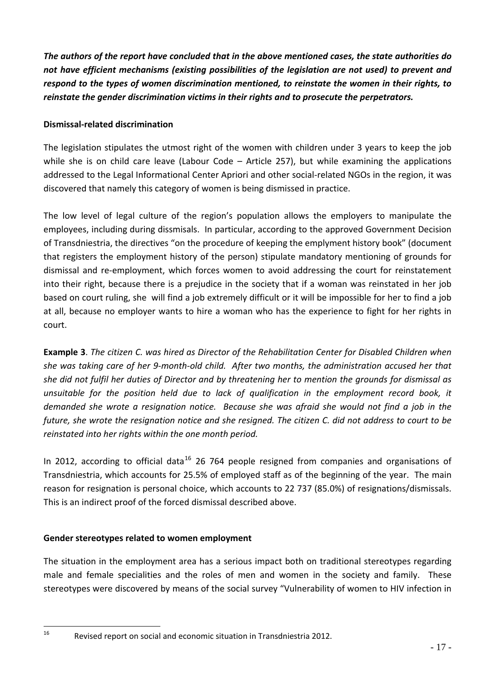*The authors of the report have concluded that in the above mentioned cases, the state authorities do not have efficient mechanisms (existing possibilities of the legislation are not used) to prevent and respond to the types of women discrimination mentioned, to reinstate the women in their rights, to reinstate the gender discrimination victims in their rights and to prosecute the perpetrators.*

## <span id="page-16-0"></span>**Dismissal‐related discrimination**

The legislation stipulates the utmost right of the women with children under 3 years to keep the job while she is on child care leave (Labour Code – Article 257), but while examining the applications addressed to the Legal Informational Center Apriori and other social-related NGOs in the region, it was discovered that namely this category of women is being dismissed in practice.

The low level of legal culture of the region's population allows the employers to manipulate the employees, including during dissmisals. In particular, according to the approved Government Decision of Transdniestria, the directives "on the procedure of keeping the emplyment history book" (document that registers the employment history of the person) stipulate mandatory mentioning of grounds for dismissal and re‐employment, which forces women to avoid addressing the court for reinstatement into their right, because there is a prejudice in the society that if a woman was reinstated in her job based on court ruling, she will find a job extremely difficult or it will be impossible for her to find a job at all, because no employer wants to hire a woman who has the experience to fight for her rights in court.

**Example 3**. *The citizen C. was hired as Director of the Rehabilitation Center for Disabled Children when* she was taking care of her 9-month-old child. After two months, the administration accused her that she did not fulfil her duties of Director and by threatening her to mention the grounds for dismissal as *unsuitable for the position held due to lack of qualification in the employment record book, it* demanded she wrote a resignation notice. Because she was afraid she would not find a job in the future, she wrote the resignation notice and she resigned. The citizen C. did not address to court to be *reinstated into her rights within the one month period.* 

In 2012, according to official data<sup>[16](#page-16-2)</sup> 26 764 people resigned from companies and organisations of Transdniestria, which accounts for 25.5% of employed staff as of the beginning of the year. The main reason for resignation is personal choice, which accounts to 22 737 (85.0%) of resignations/dismissals. This is an indirect proof of the forced dismissal described above.

## <span id="page-16-1"></span>**Gender stereotypes related to women employment**

 $\overline{a}$ 

The situation in the employment area has a serious impact both on traditional stereotypes regarding male and female specialities and the roles of men and women in the society and family. These stereotypes were discovered by means of the social survey "Vulnerability of women to HIV infection in

<span id="page-16-2"></span> $16$  Revised report on social and economic situation in Transdniestria 2012.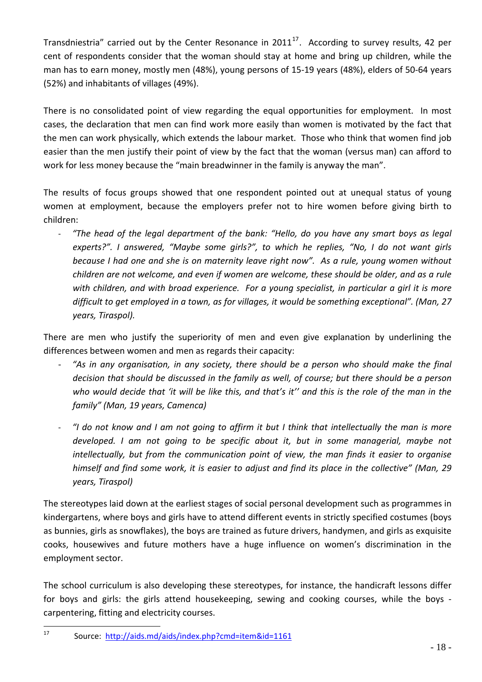(52%) and inhabitants of villages (49%). Transdniestria" carried out by the Center Resonance in  $2011^{17}$  $2011^{17}$  $2011^{17}$ . According to survey results, 42 per cent of respondents consider that the woman should stay at home and bring up children, while the man has to earn money, mostly men (48%), young persons of 15‐19 years (48%), elders of 50‐64 years

There is no consolidated point of view regarding the equal opportunities for employment. In most cases, the declaration that men can find work more easily than women is motivated by the fact that the men can work physically, which extends the labour market. Those who think that women find job easier than the men justify their point of view by the fact that the woman (versus man) can afford to work for less money because the "main breadwinner in the family is anyway the man".

The results of focus groups showed that one respondent pointed out at unequal status of young women at employment, because the employers prefer not to hire women before giving birth to children:

‐ *"The head of the legal department of the bank: "Hello, do you have any smart boys as legal experts?". I answered, "Maybe some girls?", to which he replies, "No, I do not want girls because I had one and she is on maternity leave right now". As a rule, young women without children are not welcome, and even if women are welcome, these should be older, and as a rule with children, and with broad experience. For a young specialist, in particular a girl it is more difficult to get employed in a town, as for villages, it would be something exceptional". (Man, 27 years, Tiraspol).*

There are men who justify the superiority of men and even give explanation by underlining the differences between women and men as regards their capacity:

- ‐ *"As in any organisation, in any society, there should be a person who should make the final decision that should be discussed in the family as well, of course; but there should be a person* who would decide that 'it will be like this, and that's it" and this is the role of the man in the *family" (Man, 19 years, Camenca)*
- "I do not know and I am not going to affirm it but I think that intellectually the man is more *developed. I am not going to be specific about it, but in some managerial, maybe not intellectually, but from the communication point of view, the man finds it easier to organise* himself and find some work, it is easier to adjust and find its place in the collective" (Man, 29 *years, Tiraspol)*

The stereotypes laid down at the earliest stages of social personal development such as programmes in kindergartens, where boys and girls have to attend different events in strictly specified costumes (boys as bunnies, girls as snowflakes), the boys are trained as future drivers, handymen, and girls as exquisite cooks, housewives and future mothers have a huge influence on women's discrimination in the employment sector.

The school curriculum is also developing these stereotypes, for instance, the handicraft lessons differ for boys and girls: the girls attend housekeeping, sewing and cooking courses, while the boys carpentering, fitting and electricity courses.

<span id="page-17-0"></span> $\overline{a}$ <sup>17</sup> Source: <http://aids.md/aids/index.php?cmd=item&id=1161>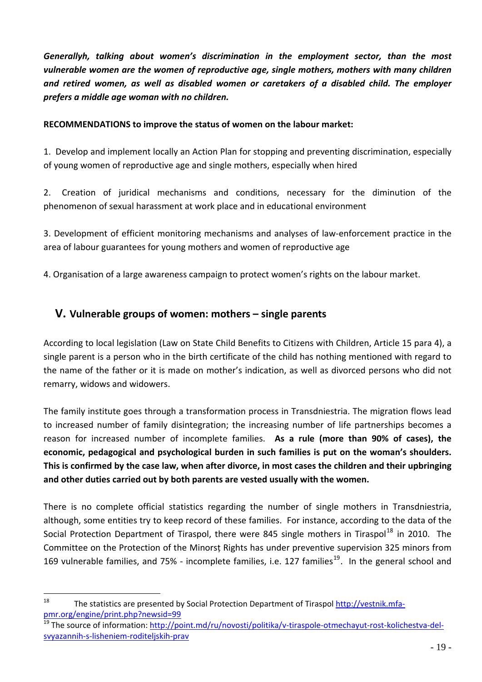*Generallyh, talking about women's discrimination in the employment sector, than the most vulnerable women are the women of reproductive age, single mothers, mothers with many children and retired women, as well as disabled women or caretakers of a disabled child. The employer prefers a middle age woman with no children.*

#### **RECOMMENDATIONS to improve the status of women on the labour market:**

1. Develop and implement locally an Action Plan for stopping and preventing discrimination, especially of young women of reproductive age and single mothers, especially when hired

2. Creation of iuridical mechanisms and conditions, necessary for the diminution of the phenomenon of sexual harassment at work place and in educational environment

3. Development of efficient monitoring mechanisms and analyses of law-enforcement practice in the area of labour guarantees for young mothers and women of reproductive age

4. Organisation of a large awareness campaign to protect women's rights on the labour market.

# **V. Vulnerable groups of women: mothers – single parents**

<span id="page-18-0"></span>According to local legislation (Law on State Child Benefits to Citizens with Children, Article 15 para 4), a single parent is a person who in the birth certificate of the child has nothing mentioned with regard to the name of the father or it is made on mother's indication, as well as divorced persons who did not remarry, widows and widowers.

The family institute goes through a transformation process in Transdniestria. The migration flows lead to increased number of family disintegration; the increasing number of life partnerships becomes a reason for increased number of incomplete families. **As a rule (more than 90% of cases), the economic, pedagogical and psychological burden in such families is put on the woman's shoulders.**  This is confirmed by the case law, when after divorce, in most cases the children and their upbringing **and other duties carried out by both parents are vested usually with the women.** 

There is no complete official statistics regarding the number of single mothers in Transdniestria, although, some entities try to keep record of these families. For instance, according to the data of the Social Protection Department of Tiraspol, there were 845 single mothers in Tiraspol<sup>[18](#page-18-1)</sup> in 2010. The Committee on the Protection of the Minorsț Rights has under preventive supervision 325 minors from 169 vulnerable families, and 75% - incomplete families, i.e. 127 families<sup>[19](#page-18-2)</sup>. In the general school and

<span id="page-18-1"></span><sup>&</sup>lt;sup>18</sup> The statistics are presented by Social Protection Department of Tiraspol [http://vestnik.mfa](http://vestnik.mfa-pmr.org/engine/print.php?newsid=99)[pmr.org/engine/print.php?newsid=99](http://vestnik.mfa-pmr.org/engine/print.php?newsid=99)

<span id="page-18-2"></span><sup>&</sup>lt;sup>19</sup> The source of information: [http://point.md/ru/novosti/politika/v](http://point.md/ru/novosti/politika/v-tiraspole-otmechayut-rost-kolichestva-del-svyazannih-s-lisheniem-roditeljskih-prav)-tiraspole-otmechayut-rost-kolichestva-delsvyazannih‐s‐lisheniem‐[roditeljskih](http://point.md/ru/novosti/politika/v-tiraspole-otmechayut-rost-kolichestva-del-svyazannih-s-lisheniem-roditeljskih-prav)‐prav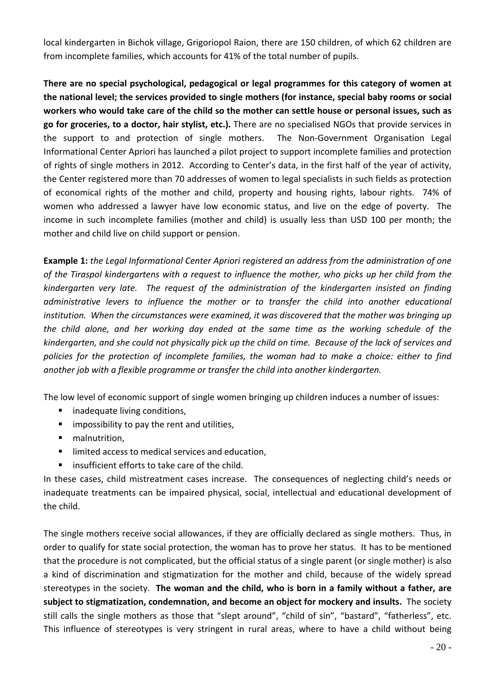local kindergarten in Bichok village, Grigoriopol Raion, there are 150 children, of which 62 children are from incomplete families, which accounts for 41% of the total number of pupils.

**There are no special psychological, pedagogical or legal programmes for this category of women at the national level; the services provided to single mothers (for instance, special baby rooms or social** workers who would take care of the child so the mother can settle house or personal issues, such as **go for groceries, to a doctor, hair stylist, etc.).** There are no specialised NGOs that provide services in the support to and protection of single mothers. The Non‐Government Organisation Legal Informational Center Apriori has launched a pilot project to support incomplete families and protection of rights of single mothers in 2012. According to Center's data, in the first half of the year of activity, the Center registered more than 70 addresses of women to legal specialists in such fields as protection of economical rights of the mother and child, property and housing rights, labour rights. 74% of women who addressed a lawyer have low economic status, and live on the edge of poverty. The income in such incomplete families (mother and child) is usually less than USD 100 per month; the mother and child live on child support or pension.

**Example 1:** *the Legal Informational Center Apriori registered an address from the administration of one* of the Tiraspol kindergartens with a request to influence the mother, who picks up her child from the *kindergarten very late. The request of the administration of the kindergarten insisted on finding administrative levers to influence the mother or to transfer the child into another educational institution. When the circumstances were examined, it was discovered that the mother was bringing up the child alone, and her working day ended at the same time as the working schedule of the* kindergarten, and she could not physically pick up the child on time. Because of the lack of services and *policies for the protection of incomplete families, the woman had to make a choice: either to find another job with a flexible programme or transfer the child into another kindergarten.* 

The low level of economic support of single women bringing up children induces a number of issues:

- **EXECUTE:** inadequate living conditions,
- $\blacksquare$  impossibility to pay the rent and utilities,
- **nalnutrition**,
- **IF limited access to medical services and education,**
- insufficient efforts to take care of the child.

In these cases, child mistreatment cases increase. The consequences of neglecting child's needs or inadequate treatments can be impaired physical, social, intellectual and educational development of the child.

The single mothers receive social allowances, if they are officially declared as single mothers. Thus, in order to qualify for state social protection, the woman has to prove her status. It has to be mentioned that the procedure is not complicated, but the official status of a single parent (or single mother) is also a kind of discrimination and stigmatization for the mother and child, because of the widely spread stereotypes in the society. **The woman and the child, who is born in a family without a father, are subject to stigmatization, condemnation, and become an object for mockery and insults.** The society still calls the single mothers as those that "slept around", "child of sin", "bastard", "fatherless", etc. This influence of stereotypes is very stringent in rural areas, where to have a child without being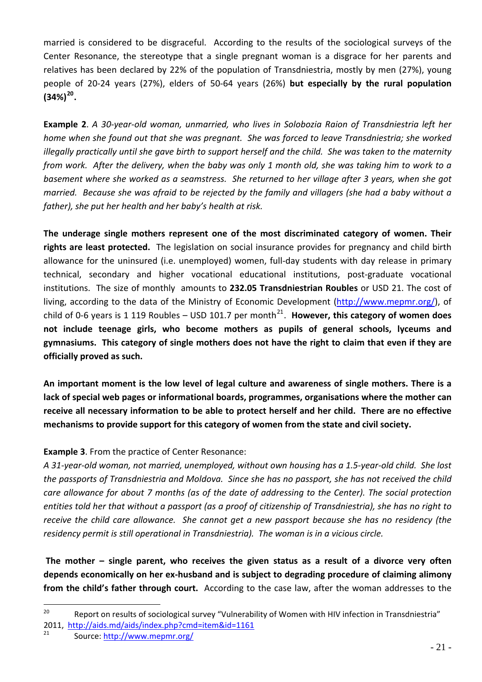married is considered to be disgraceful. According to the results of the sociological surveys of the Center Resonance, the stereotype that a single pregnant woman is a disgrace for her parents and relatives has been declared by 22% of the population of Transdniestria, mostly by men (27%), young people of 20‐24 years (27%), elders of 50‐64 years (26%) **but especially by the rural population (34%)[20](#page-20-0).**

Example 2. A 30-year-old woman, unmarried, who lives in Solobozia Raion of Transdniestria left her *home when she found out that she was pregnant. She was forced to leave Transdniestria; she worked* illegally practically until she gave birth to support herself and the child. She was taken to the maternity from work. After the delivery, when the baby was only 1 month old, she was taking him to work to a basement where she worked as a seamstress. She returned to her village after 3 years, when she got married. Because she was afraid to be rejected by the family and villagers (she had a baby without a *father), she put her health and her baby's health at risk.*

**The underage single mothers represent one of the most discriminated category of women. Their rights are least protected.** The legislation on social insurance provides for pregnancy and child birth allowance for the uninsured (i.e. unemployed) women, full-day students with day release in primary technical, secondary and higher vocational educational institutions, post‐graduate vocational institutions. The size of monthly amounts to **232.05 Transdniestrian Roubles** or USD 21. The cost of living, according to the data of the Ministry of Economic Development (<http://www.mepmr.org/>), of child of 0-6 years is 1 119 Roubles – USD 101.7 per month<sup>[21](#page-20-1)</sup>. However, this category of women does **not include teenage girls, who become mothers as pupils of general schools, lyceums and** gymnasiums. This category of single mothers does not have the right to claim that even if they are **officially proved as such.** 

**An important moment is the low level of legal culture and awareness of single mothers. There is a lack of special web pages or informational boards, programmes, organisations where the mother can** receive all necessary information to be able to protect herself and her child. There are no effective **mechanisms to provide support for this category of women from the state and civil society.**

## **Example 3**. From the practice of Center Resonance:

A 31-year-old woman, not married, unemployed, without own housing has a 1.5-year-old child. She lost the passports of Transdniestria and Moldova. Since she has no passport, she has not received the child care allowance for about 7 months (as of the date of addressing to the Center). The social protection entities told her that without a passport (as a proof of citizenship of Transdniestria), she has no right to receive the child care allowance. She cannot get a new passport because she has no residency (the *residency permit is still operational in Transdniestria). The woman is in a vicious circle.*

**The mother – single parent, who receives the given status as a result of a divorce very often depends economically on her ex‐husband and is subject to degrading procedure of claiming alimony from the child's father through court.** According to the case law, after the woman addresses to the

<span id="page-20-0"></span><sup>&</sup>lt;sup>20</sup> Report on results of sociological survey "Vulnerability of Women with HIV infection in Transdniestria" 2011, <http://aids.md/aids/index.php?cmd=item&id=1161>

<span id="page-20-1"></span>Source: <http://www.mepmr.org/>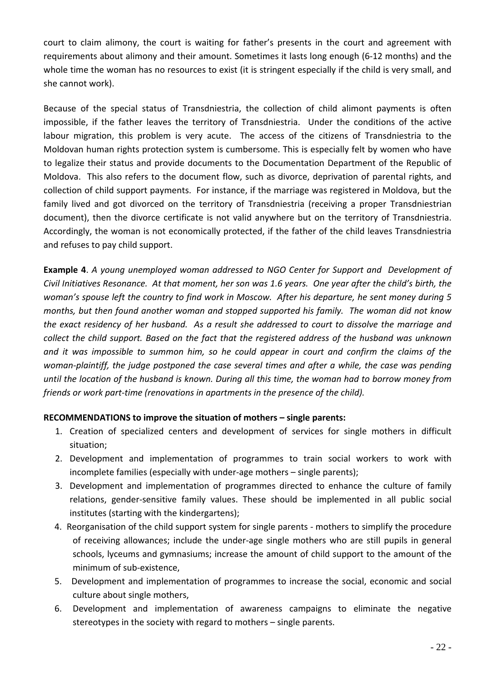court to claim alimony, the court is waiting for father's presents in the court and agreement with requirements about alimony and their amount. Sometimes it lasts long enough (6‐12 months) and the whole time the woman has no resources to exist (it is stringent especially if the child is very small, and she cannot work).

Because of the special status of Transdniestria, the collection of child alimont payments is often impossible, if the father leaves the territory of Transdniestria. Under the conditions of the active labour migration, this problem is very acute. The access of the citizens of Transdniestria to the Moldovan human rights protection system is cumbersome. This is especially felt by women who have to legalize their status and provide documents to the Documentation Department of the Republic of Moldova. This also refers to the document flow, such as divorce, deprivation of parental rights, and collection of child support payments. For instance, if the marriage was registered in Moldova, but the family lived and got divorced on the territory of Transdniestria (receiving a proper Transdniestrian document), then the divorce certificate is not valid anywhere but on the territory of Transdniestria. Accordingly, the woman is not economically protected, if the father of the child leaves Transdniestria and refuses to pay child support.

**Example 4**. *A young unemployed woman addressed to NGO Center for Support and Development of* Civil Initiatives Resonance. At that moment, her son was 1.6 years. One year after the child's birth, the woman's spouse left the country to find work in Moscow. After his departure, he sent money during 5 *months, but then found another woman and stopped supported his family. The woman did not know* the exact residency of her husband. As a result she addressed to court to dissolve the marriage and *collect the child support. Based on the fact that the registered address of the husband was unknown* and it was impossible to summon him, so he could appear in court and confirm the claims of the woman-plaintiff, the judge postponed the case several times and after a while, the case was pending until the location of the husband is known. During all this time, the woman had to borrow money from *friends or work part‐time (renovations in apartments in the presence of the child).*

## **RECOMMENDATIONS to improve the situation of mothers – single parents:**

- 1. Creation of specialized centers and development of services for single mothers in difficult situation;
- 2. Development and implementation of programmes to train social workers to work with incomplete families (especially with under‐age mothers – single parents);
- 3. Development and implementation of programmes directed to enhance the culture of family relations, gender‐sensitive family values. These should be implemented in all public social institutes (starting with the kindergartens);
- 4. Reorganisation of the child support system for single parents mothers to simplify the procedure of receiving allowances; include the under‐age single mothers who are still pupils in general schools, lyceums and gymnasiums; increase the amount of child support to the amount of the minimum of sub‐existence,
- 5. Development and implementation of programmes to increase the social, economic and social culture about single mothers,
- 6. Development and implementation of awareness campaigns to eliminate the negative stereotypes in the society with regard to mothers – single parents.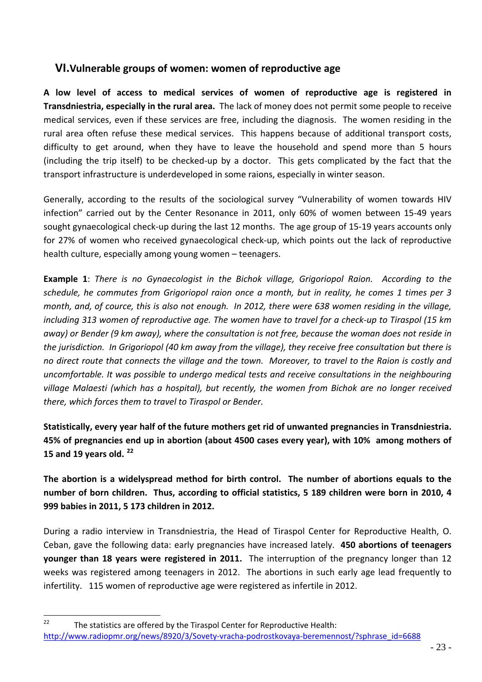## **VI.Vulnerable groups of women: women of reproductive age**

<span id="page-22-0"></span>**A low level of access to medical services of women of reproductive age is registered in Transdniestria, especially in the rural area.** The lack of money does not permit some people to receive medical services, even if these services are free, including the diagnosis. The women residing in the rural area often refuse these medical services. This happens because of additional transport costs, difficulty to get around, when they have to leave the household and spend more than 5 hours (including the trip itself) to be checked‐up by a doctor. This gets complicated by the fact that the transport infrastructure is underdeveloped in some raions, especially in winter season.

Generally, according to the results of the sociological survey "Vulnerability of women towards HIV infection" carried out by the Center Resonance in 2011, only 60% of women between 15‐49 years sought gynaecological check‐up during the last 12 months. The age group of 15‐19 years accounts only for 27% of women who received gynaecological check‐up, which points out the lack of reproductive health culture, especially among young women – teenagers.

**Example 1**: *There is no Gynaecologist in the Bichok village, Grigoriopol Raion. According to the schedule, he commutes from Grigoriopol raion once a month, but in reality, he comes 1 times per 3* month, and, of cource, this is also not enough. In 2012, there were 638 women residing in the village, including 313 women of reproductive age. The women have to travel for a check-up to Tiraspol (15 km away) or Bender (9 km away), where the consultation is not free, because the woman does not reside in the jurisdiction. In Grigoriopol (40 km away from the village), they receive free consultation but there is no direct route that connects the village and the town. Moreover, to travel to the Raion is costly and *uncomfortable. It was possible to undergo medical tests and receive consultations in the neighbouring village Malaesti (which has a hospital), but recently, the women from Bichok are no longer received there, which forces them to travel to Tiraspol or Bender.* 

**Statistically, every year half of the future mothers get rid of unwanted pregnancies in Transdniestria. 45% of pregnancies end up in abortion (about 4500 cases every year), with 10% among mothers of 15 and 19 years old. [22](#page-22-1)**

**The abortion is a widelyspread method for birth control. The number of abortions equals to the** number of born children. Thus, according to official statistics, 5 189 children were born in 2010, 4 **999 babies in 2011, 5 173 children in 2012.**

During a radio interview in Transdniestria, the Head of Tiraspol Center for Reproductive Health, O. Ceban, gave the following data: early pregnancies have increased lately. **450 abortions of teenagers younger than 18 years were registered in 2011.** The interruption of the pregnancy longer than 12 weeks was registered among teenagers in 2012. The abortions in such early age lead frequently to infertility. 115 women of reproductive age were registered as infertile in 2012.

<span id="page-22-1"></span><sup>&</sup>lt;sup>22</sup> The statistics are offered by the Tiraspol Center for Reproductive Health: [http://www.radiopmr.org/news/8920/3/Sovety](http://www.radiopmr.org/news/8920/3/Sovety-vracha-podrostkovaya-beremennost/?sphrase_id=6688)‐vracha‐podrostkovaya‐beremennost/?sphrase\_id=6688